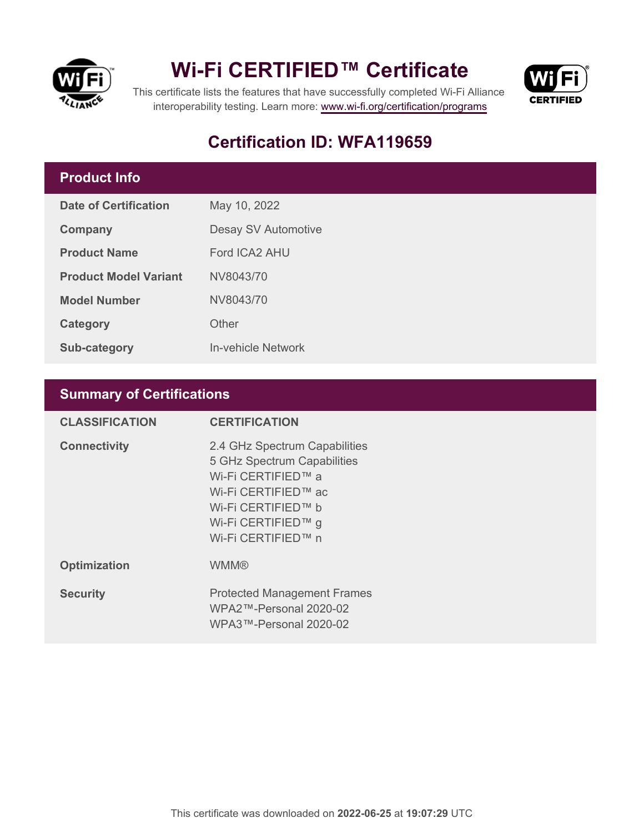

## **Wi-Fi CERTIFIED™ Certificate**



This certificate lists the features that have successfully completed Wi-Fi Alliance interoperability testing. Learn more:<www.wi-fi.org/certification/programs>

## **Certification ID: WFA119659**

### **Product Info**

| Date of Certification        | May 10, 2022        |  |
|------------------------------|---------------------|--|
| Company                      | Desay SV Automotive |  |
| <b>Product Name</b>          | Ford ICA2 AHU       |  |
| <b>Product Model Variant</b> | NV8043/70           |  |
| <b>Model Number</b>          | NV8043/70           |  |
| Category                     | Other               |  |
| <b>Sub-category</b>          | In-vehicle Network  |  |

### **Summary of Certifications**

| <b>CLASSIFICATION</b> | <b>CERTIFICATION</b>                                                                                                                                                        |
|-----------------------|-----------------------------------------------------------------------------------------------------------------------------------------------------------------------------|
| <b>Connectivity</b>   | 2.4 GHz Spectrum Capabilities<br>5 GHz Spectrum Capabilities<br>Wi-Fi CERTIFIED™ a<br>Wi-Fi CERTIFIED™ ac<br>Wi-Fi CERTIFIED™ b<br>Wi-Fi CERTIFIED™ g<br>Wi-Fi CERTIFIED™ n |
| <b>Optimization</b>   | <b>WMM®</b>                                                                                                                                                                 |
| <b>Security</b>       | <b>Protected Management Frames</b><br>WPA2™-Personal 2020-02<br>WPA3™-Personal 2020-02                                                                                      |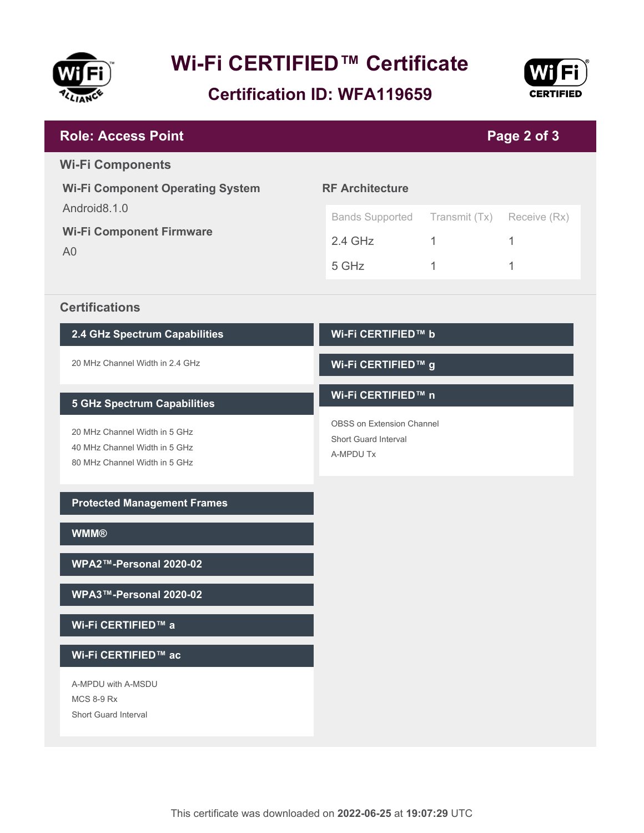

# **Wi-Fi CERTIFIED™ Certificate**

**Certification ID: WFA119659**



| <b>Role: Access Point</b>                                                                       | Page 2 of 3                                                           |               |              |
|-------------------------------------------------------------------------------------------------|-----------------------------------------------------------------------|---------------|--------------|
| <b>Wi-Fi Components</b>                                                                         |                                                                       |               |              |
| <b>Wi-Fi Component Operating System</b>                                                         | <b>RF Architecture</b>                                                |               |              |
| Android8.1.0<br><b>Wi-Fi Component Firmware</b><br>A <sub>0</sub>                               | <b>Bands Supported</b>                                                | Transmit (Tx) | Receive (Rx) |
|                                                                                                 | $2.4$ GHz                                                             | $\mathbf{1}$  | 1            |
|                                                                                                 | 5 GHz                                                                 | 1             | 1            |
| <b>Certifications</b>                                                                           |                                                                       |               |              |
| 2.4 GHz Spectrum Capabilities                                                                   | Wi-Fi CERTIFIED™ b                                                    |               |              |
| 20 MHz Channel Width in 2.4 GHz                                                                 | Wi-Fi CERTIFIED™ g                                                    |               |              |
| <b>5 GHz Spectrum Capabilities</b>                                                              | Wi-Fi CERTIFIED™ n                                                    |               |              |
| 20 MHz Channel Width in 5 GHz<br>40 MHz Channel Width in 5 GHz<br>80 MHz Channel Width in 5 GHz | <b>OBSS on Extension Channel</b><br>Short Guard Interval<br>A-MPDU Tx |               |              |
| <b>Protected Management Frames</b>                                                              |                                                                       |               |              |
| <b>WMM®</b>                                                                                     |                                                                       |               |              |
| WPA2™-Personal 2020-02                                                                          |                                                                       |               |              |
| WPA3™-Personal 2020-02                                                                          |                                                                       |               |              |
| Wi-Fi CERTIFIED™ a                                                                              |                                                                       |               |              |
| Wi-Fi CERTIFIED™ ac                                                                             |                                                                       |               |              |
| A-MPDU with A-MSDU<br><b>MCS 8-9 Rx</b><br>Short Guard Interval                                 |                                                                       |               |              |